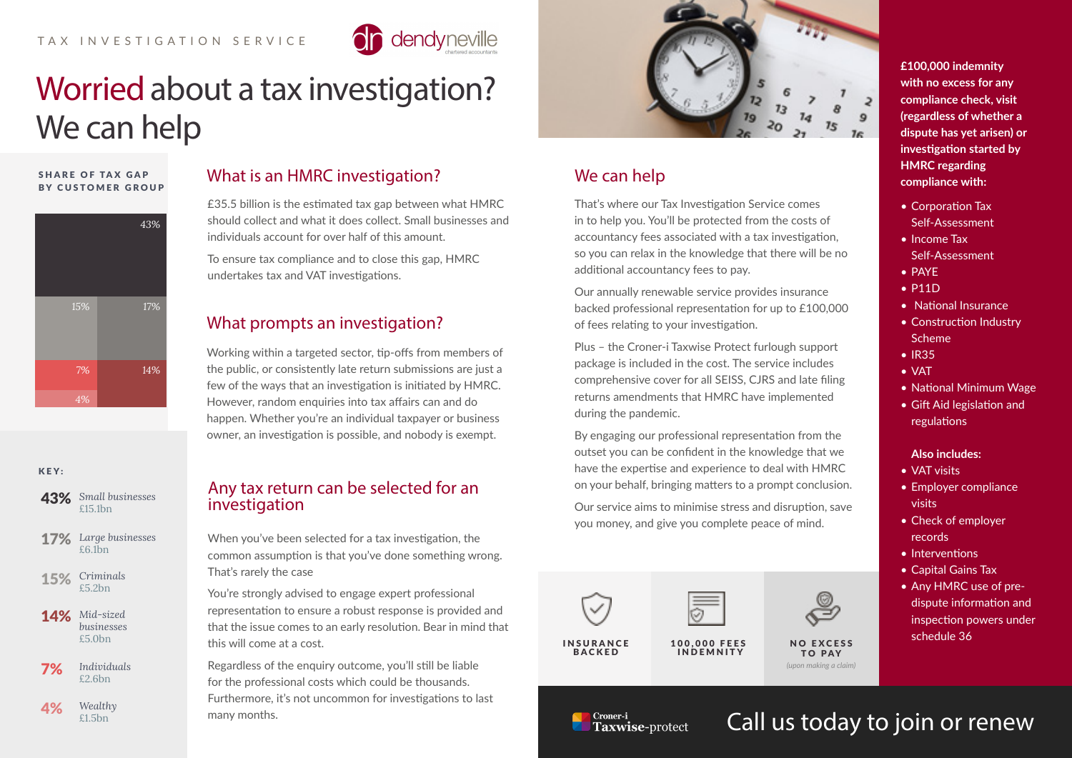

# Worried about a tax investigation? We can help

#### **SHARE OF TAX GAP** BY CUSTOMER GROUP



| 43% Small businesses<br>£15.1bn          |
|------------------------------------------|
| <b>17%</b> Large businesses<br>$£6.1$ bn |

KEY:

**15%** Criminals

**14%** Mid-sized *businesses* £5.0bn

*Individuals* **7%** Individ

*Wealthy*  $4\%$  Wealth

# What is an HMRC investigation?

£35.5 billion is the estimated tax gap between what HMRC should collect and what it does collect. Small businesses and individuals account for over half of this amount.

To ensure tax compliance and to close this gap, HMRC undertakes tax and VAT investigations.

# What prompts an investigation?

Working within a targeted sector, tip-offs from members of the public, or consistently late return submissions are just a few of the ways that an investigation is initiated by HMRC. However, random enquiries into tax affairs can and do happen. Whether you're an individual taxpayer or business owner, an investigation is possible, and nobody is exempt.

### Any tax return can be selected for an investigation

When you've been selected for a tax investigation, the common assumption is that you've done something wrong. That's rarely the case

You're strongly advised to engage expert professional representation to ensure a robust response is provided and that the issue comes to an early resolution. Bear in mind that this will come at a cost.

Regardless of the enquiry outcome, you'll still be liable for the professional costs which could be thousands. Furthermore, it's not uncommon for investigations to last many months.



# We can help

That's where our Tax Investigation Service comes in to help you. You'll be protected from the costs of accountancy fees associated with a tax investigation, so you can relax in the knowledge that there will be no additional accountancy fees to pay.

Our annually renewable service provides insurance backed professional representation for up to £100,000 of fees relating to your investigation.

Plus – the Croner-i Taxwise Protect furlough support package is included in the cost. The service includes comprehensive cover for all SEISS, CJRS and late filing returns amendments that HMRC have implemented during the pandemic.

By engaging our professional representation from the outset you can be confident in the knowledge that we have the expertise and experience to deal with HMRC on your behalf, bringing matters to a prompt conclusion.

Our service aims to minimise stress and disruption, save you money, and give you complete peace of mind.



**£100,000 indemnity with no excess for any compliance check, visit (regardless of whether a dispute has yet arisen) or investigation started by HMRC regarding compliance with:**

- Corporation Tax Self-Assessment
- Income Tax Self-Assessment
- PAYE
- P11D
- National Insurance
- Construction Industry Scheme
- IR35
- VAT
- National Minimum Wage
- Gift Aid legislation and regulations

#### **Also includes:**

- VAT visits
- Employer compliance visits
- Check of employer records
- Interventions
- Capital Gains Tax
- Any HMRC use of predispute information and inspection powers under schedule 36

Croner-i Taxwise-protect Call us today to join or renew